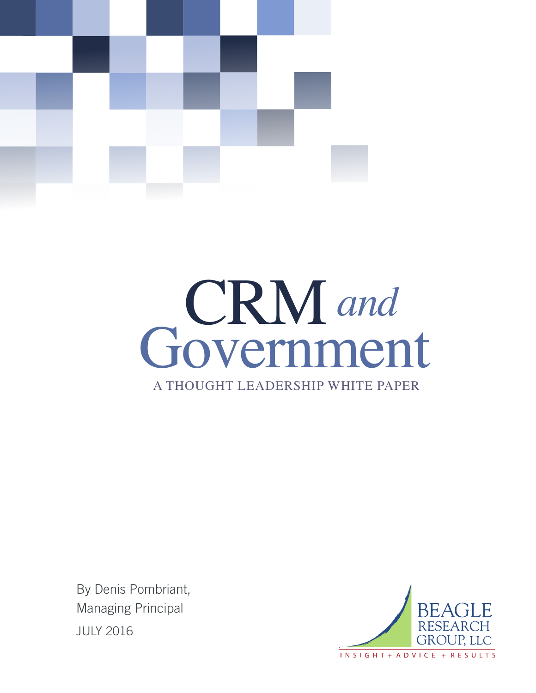

# CRM A THOUGHT LEADERSHIP WHITE PAPER Government  *and*

By Denis Pombriant, Managing Principal JULY 2016

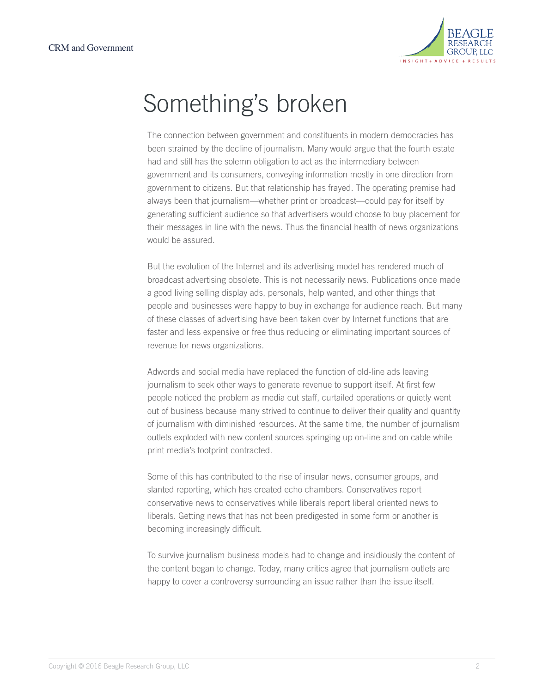

# Something's broken

The connection between government and constituents in modern democracies has been strained by the decline of journalism. Many would argue that the fourth estate had and still has the solemn obligation to act as the intermediary between government and its consumers, conveying information mostly in one direction from government to citizens. But that relationship has frayed. The operating premise had always been that journalism—whether print or broadcast—could pay for itself by generating sufficient audience so that advertisers would choose to buy placement for their messages in line with the news. Thus the financial health of news organizations would be assured.

But the evolution of the Internet and its advertising model has rendered much of broadcast advertising obsolete. This is not necessarily news. Publications once made a good living selling display ads, personals, help wanted, and other things that people and businesses were happy to buy in exchange for audience reach. But many of these classes of advertising have been taken over by Internet functions that are faster and less expensive or free thus reducing or eliminating important sources of revenue for news organizations.

Adwords and social media have replaced the function of old-line ads leaving journalism to seek other ways to generate revenue to support itself. At first few people noticed the problem as media cut staff, curtailed operations or quietly went out of business because many strived to continue to deliver their quality and quantity of journalism with diminished resources. At the same time, the number of journalism outlets exploded with new content sources springing up on-line and on cable while print media's footprint contracted.

Some of this has contributed to the rise of insular news, consumer groups, and slanted reporting, which has created echo chambers. Conservatives report conservative news to conservatives while liberals report liberal oriented news to liberals. Getting news that has not been predigested in some form or another is becoming increasingly difficult.

To survive journalism business models had to change and insidiously the content of the content began to change. Today, many critics agree that journalism outlets are happy to cover a controversy surrounding an issue rather than the issue itself.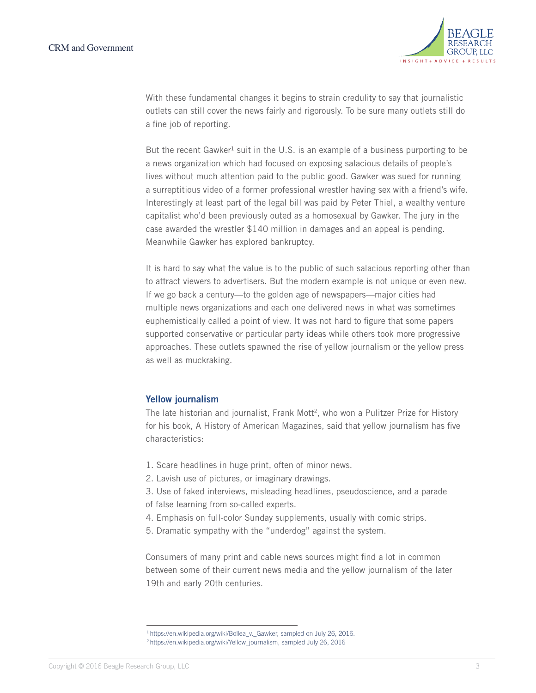

With these fundamental changes it begins to strain credulity to say that journalistic outlets can still cover the news fairly and rigorously. To be sure many outlets still do a fine job of reporting.

But the recent Gawker<sup>1</sup> suit in the U.S. is an example of a business purporting to be a news organization which had focused on exposing salacious details of people's lives without much attention paid to the public good. Gawker was sued for running a surreptitious video of a former professional wrestler having sex with a friend's wife. Interestingly at least part of the legal bill was paid by Peter Thiel, a wealthy venture capitalist who'd been previously outed as a homosexual by Gawker. The jury in the case awarded the wrestler \$140 million in damages and an appeal is pending. Meanwhile Gawker has explored bankruptcy.

It is hard to say what the value is to the public of such salacious reporting other than to attract viewers to advertisers. But the modern example is not unique or even new. If we go back a century—to the golden age of newspapers—major cities had multiple news organizations and each one delivered news in what was sometimes euphemistically called a point of view. It was not hard to figure that some papers supported conservative or particular party ideas while others took more progressive approaches. These outlets spawned the rise of yellow journalism or the yellow press as well as muckraking.

### Yellow journalism

The late historian and journalist, Frank Mott<sup>2</sup>, who won a Pulitzer Prize for History for his book, A History of American Magazines, said that yellow journalism has five characteristics:

- 1. Scare headlines in huge print, often of minor news.
- 2. Lavish use of pictures, or imaginary drawings.
- 3. Use of faked interviews, misleading headlines, pseudoscience, and a parade
- of false learning from so-called experts.
- 4. Emphasis on full-color Sunday supplements, usually with comic strips.
- 5. Dramatic sympathy with the "underdog" against the system.

Consumers of many print and cable news sources might find a lot in common between some of their current news media and the yellow journalism of the later 19th and early 20th centuries.

<sup>&</sup>lt;sup>1</sup> https://en.wikipedia.org/wiki/Bollea\_v.\_Gawker, sampled on July 26, 2016.

<sup>2</sup> https://en.wikipedia.org/wiki/Yellow\_journalism, sampled July 26, 2016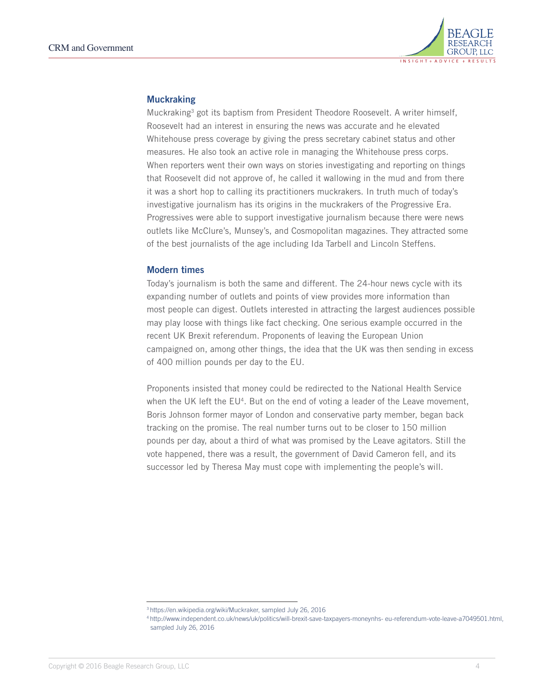

## **Muckraking**

Muckraking3 got its baptism from President Theodore Roosevelt. A writer himself, Roosevelt had an interest in ensuring the news was accurate and he elevated Whitehouse press coverage by giving the press secretary cabinet status and other measures. He also took an active role in managing the Whitehouse press corps. When reporters went their own ways on stories investigating and reporting on things that Roosevelt did not approve of, he called it wallowing in the mud and from there it was a short hop to calling its practitioners muckrakers. In truth much of today's investigative journalism has its origins in the muckrakers of the Progressive Era. Progressives were able to support investigative journalism because there were news outlets like McClure's, Munsey's, and Cosmopolitan magazines. They attracted some of the best journalists of the age including Ida Tarbell and Lincoln Steffens.

### Modern times

Today's journalism is both the same and different. The 24-hour news cycle with its expanding number of outlets and points of view provides more information than most people can digest. Outlets interested in attracting the largest audiences possible may play loose with things like fact checking. One serious example occurred in the recent UK Brexit referendum. Proponents of leaving the European Union campaigned on, among other things, the idea that the UK was then sending in excess of 400 million pounds per day to the EU.

Proponents insisted that money could be redirected to the National Health Service when the UK left the  $EU<sup>4</sup>$ . But on the end of voting a leader of the Leave movement, Boris Johnson former mayor of London and conservative party member, began back tracking on the promise. The real number turns out to be closer to 150 million pounds per day, about a third of what was promised by the Leave agitators. Still the vote happened, there was a result, the government of David Cameron fell, and its successor led by Theresa May must cope with implementing the people's will.

<sup>3</sup> https://en.wikipedia.org/wiki/Muckraker, sampled July 26, 2016

<sup>4</sup> http://www.independent.co.uk/news/uk/politics/will-brexit-save-taxpayers-moneynhs- eu-referendum-vote-leave-a7049501.html, sampled July 26, 2016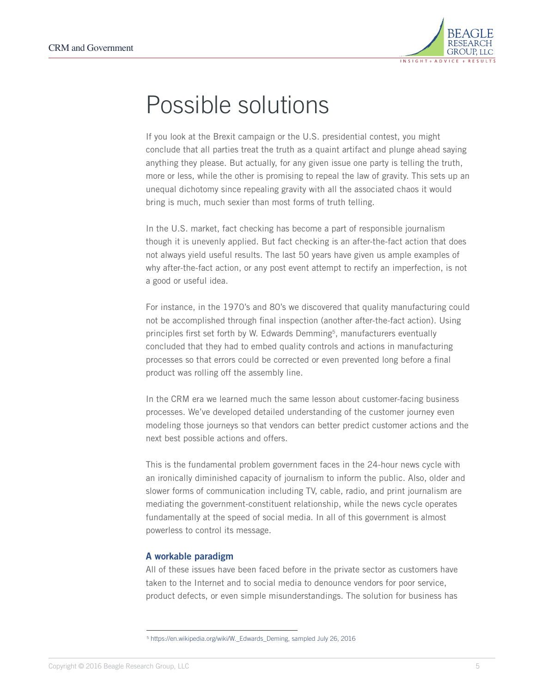

# Possible solutions

If you look at the Brexit campaign or the U.S. presidential contest, you might conclude that all parties treat the truth as a quaint artifact and plunge ahead saying anything they please. But actually, for any given issue one party is telling the truth, more or less, while the other is promising to repeal the law of gravity. This sets up an unequal dichotomy since repealing gravity with all the associated chaos it would bring is much, much sexier than most forms of truth telling.

In the U.S. market, fact checking has become a part of responsible journalism though it is unevenly applied. But fact checking is an after-the-fact action that does not always yield useful results. The last 50 years have given us ample examples of why after-the-fact action, or any post event attempt to rectify an imperfection, is not a good or useful idea.

For instance, in the 1970's and 80's we discovered that quality manufacturing could not be accomplished through final inspection (another after-the-fact action). Using principles first set forth by W. Edwards Demming<sup>5</sup>, manufacturers eventually concluded that they had to embed quality controls and actions in manufacturing processes so that errors could be corrected or even prevented long before a final product was rolling off the assembly line.

In the CRM era we learned much the same lesson about customer-facing business processes. We've developed detailed understanding of the customer journey even modeling those journeys so that vendors can better predict customer actions and the next best possible actions and offers.

This is the fundamental problem government faces in the 24-hour news cycle with an ironically diminished capacity of journalism to inform the public. Also, older and slower forms of communication including TV, cable, radio, and print journalism are mediating the government-constituent relationship, while the news cycle operates fundamentally at the speed of social media. In all of this government is almost powerless to control its message.

# A workable paradigm

All of these issues have been faced before in the private sector as customers have taken to the Internet and to social media to denounce vendors for poor service, product defects, or even simple misunderstandings. The solution for business has

<sup>5</sup> https://en.wikipedia.org/wiki/W.\_Edwards\_Deming, sampled July 26, 2016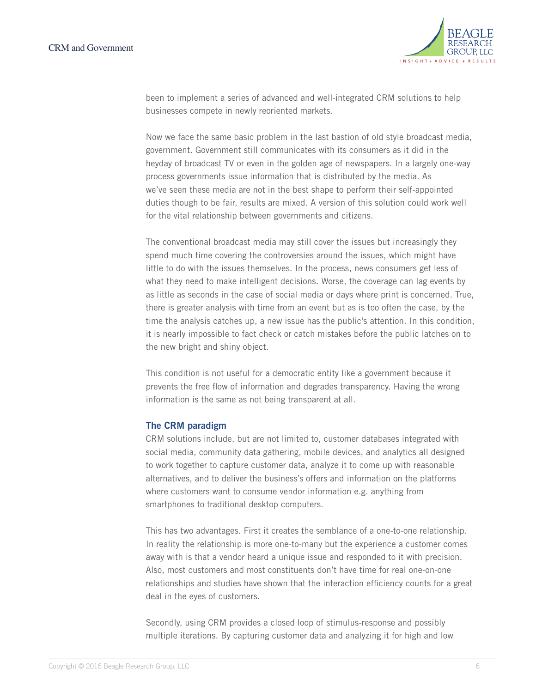

been to implement a series of advanced and well-integrated CRM solutions to help businesses compete in newly reoriented markets.

Now we face the same basic problem in the last bastion of old style broadcast media, government. Government still communicates with its consumers as it did in the heyday of broadcast TV or even in the golden age of newspapers. In a largely one-way process governments issue information that is distributed by the media. As we've seen these media are not in the best shape to perform their self-appointed duties though to be fair, results are mixed. A version of this solution could work well for the vital relationship between governments and citizens.

The conventional broadcast media may still cover the issues but increasingly they spend much time covering the controversies around the issues, which might have little to do with the issues themselves. In the process, news consumers get less of what they need to make intelligent decisions. Worse, the coverage can lag events by as little as seconds in the case of social media or days where print is concerned. True, there is greater analysis with time from an event but as is too often the case, by the time the analysis catches up, a new issue has the public's attention. In this condition, it is nearly impossible to fact check or catch mistakes before the public latches on to the new bright and shiny object.

This condition is not useful for a democratic entity like a government because it prevents the free flow of information and degrades transparency. Having the wrong information is the same as not being transparent at all.

### The CRM paradigm

CRM solutions include, but are not limited to, customer databases integrated with social media, community data gathering, mobile devices, and analytics all designed to work together to capture customer data, analyze it to come up with reasonable alternatives, and to deliver the business's offers and information on the platforms where customers want to consume vendor information e.g. anything from smartphones to traditional desktop computers.

This has two advantages. First it creates the semblance of a one-to-one relationship. In reality the relationship is more one-to-many but the experience a customer comes away with is that a vendor heard a unique issue and responded to it with precision. Also, most customers and most constituents don't have time for real one-on-one relationships and studies have shown that the interaction efficiency counts for a great deal in the eyes of customers.

Secondly, using CRM provides a closed loop of stimulus-response and possibly multiple iterations. By capturing customer data and analyzing it for high and low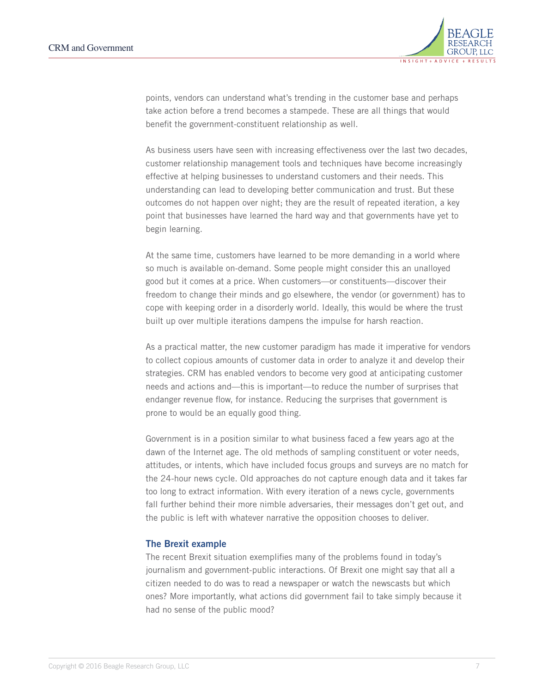

points, vendors can understand what's trending in the customer base and perhaps take action before a trend becomes a stampede. These are all things that would benefit the government-constituent relationship as well.

As business users have seen with increasing effectiveness over the last two decades, customer relationship management tools and techniques have become increasingly effective at helping businesses to understand customers and their needs. This understanding can lead to developing better communication and trust. But these outcomes do not happen over night; they are the result of repeated iteration, a key point that businesses have learned the hard way and that governments have yet to begin learning.

At the same time, customers have learned to be more demanding in a world where so much is available on-demand. Some people might consider this an unalloyed good but it comes at a price. When customers—or constituents—discover their freedom to change their minds and go elsewhere, the vendor (or government) has to cope with keeping order in a disorderly world. Ideally, this would be where the trust built up over multiple iterations dampens the impulse for harsh reaction.

As a practical matter, the new customer paradigm has made it imperative for vendors to collect copious amounts of customer data in order to analyze it and develop their strategies. CRM has enabled vendors to become very good at anticipating customer needs and actions and—this is important—to reduce the number of surprises that endanger revenue flow, for instance. Reducing the surprises that government is prone to would be an equally good thing.

Government is in a position similar to what business faced a few years ago at the dawn of the Internet age. The old methods of sampling constituent or voter needs, attitudes, or intents, which have included focus groups and surveys are no match for the 24-hour news cycle. Old approaches do not capture enough data and it takes far too long to extract information. With every iteration of a news cycle, governments fall further behind their more nimble adversaries, their messages don't get out, and the public is left with whatever narrative the opposition chooses to deliver.

#### The Brexit example

The recent Brexit situation exemplifies many of the problems found in today's journalism and government-public interactions. Of Brexit one might say that all a citizen needed to do was to read a newspaper or watch the newscasts but which ones? More importantly, what actions did government fail to take simply because it had no sense of the public mood?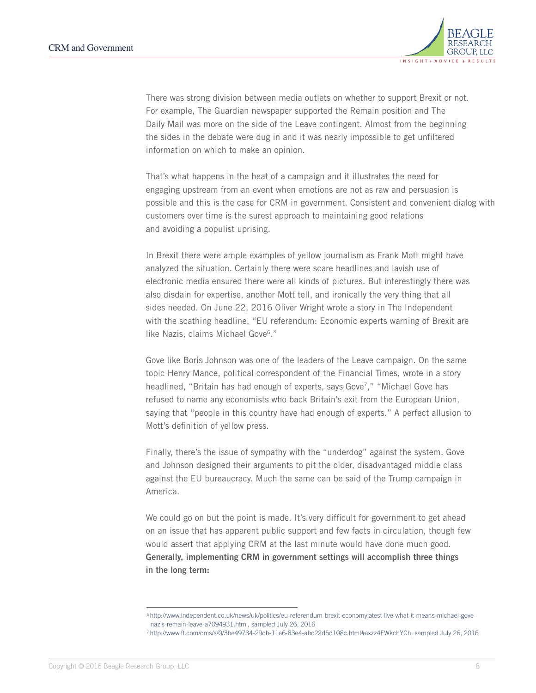

There was strong division between media outlets on whether to support Brexit or not. For example, The Guardian newspaper supported the Remain position and The Daily Mail was more on the side of the Leave contingent. Almost from the beginning the sides in the debate were dug in and it was nearly impossible to get unfiltered information on which to make an opinion.

That's what happens in the heat of a campaign and it illustrates the need for engaging upstream from an event when emotions are not as raw and persuasion is possible and this is the case for CRM in government. Consistent and convenient dialog with customers over time is the surest approach to maintaining good relations and avoiding a populist uprising.

In Brexit there were ample examples of yellow journalism as Frank Mott might have analyzed the situation. Certainly there were scare headlines and lavish use of electronic media ensured there were all kinds of pictures. But interestingly there was also disdain for expertise, another Mott tell, and ironically the very thing that all sides needed. On June 22, 2016 Oliver Wright wrote a story in The Independent with the scathing headline, "EU referendum: Economic experts warning of Brexit are like Nazis, claims Michael Gove<sup>6</sup>."

Gove like Boris Johnson was one of the leaders of the Leave campaign. On the same topic Henry Mance, political correspondent of the Financial Times, wrote in a story headlined, "Britain has had enough of experts, says Gove<sup>7</sup>," "Michael Gove has refused to name any economists who back Britain's exit from the European Union, saying that "people in this country have had enough of experts." A perfect allusion to Mott's definition of yellow press.

Finally, there's the issue of sympathy with the "underdog" against the system. Gove and Johnson designed their arguments to pit the older, disadvantaged middle class against the EU bureaucracy. Much the same can be said of the Trump campaign in America.

We could go on but the point is made. It's very difficult for government to get ahead on an issue that has apparent public support and few facts in circulation, though few would assert that applying CRM at the last minute would have done much good. Generally, implementing CRM in government settings will accomplish three things in the long term:

<sup>6</sup> http://www.independent.co.uk/news/uk/politics/eu-referendum-brexit-economylatest-live-what-it-means-michael-gove nazis-remain-leave-a7094931.html, sampled July 26, 2016

<sup>7</sup> http://www.ft.com/cms/s/0/3be49734-29cb-11e6-83e4-abc22d5d108c.html#axzz4FWkchYCh, sampled July 26, 2016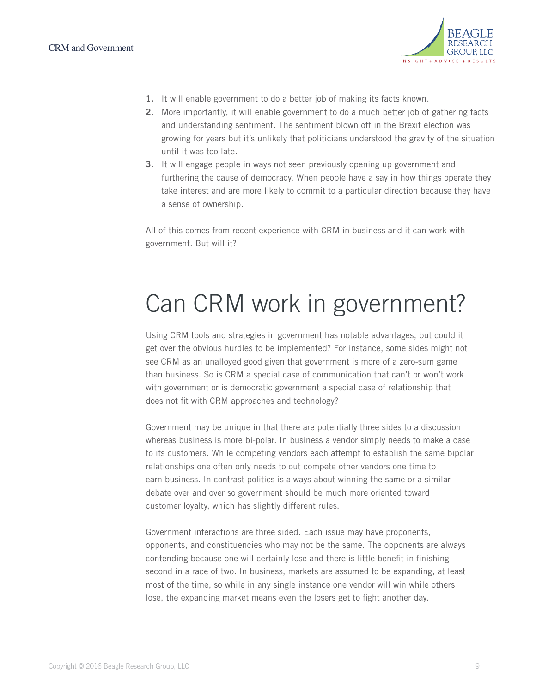

- 1. It will enable government to do a better job of making its facts known.
- 2. More importantly, it will enable government to do a much better job of gathering facts and understanding sentiment. The sentiment blown off in the Brexit election was growing for years but it's unlikely that politicians understood the gravity of the situation until it was too late.
- 3. It will engage people in ways not seen previously opening up government and furthering the cause of democracy. When people have a say in how things operate they take interest and are more likely to commit to a particular direction because they have a sense of ownership.

All of this comes from recent experience with CRM in business and it can work with government. But will it?

# Can CRM work in government?

Using CRM tools and strategies in government has notable advantages, but could it get over the obvious hurdles to be implemented? For instance, some sides might not see CRM as an unalloyed good given that government is more of a zero-sum game than business. So is CRM a special case of communication that can't or won't work with government or is democratic government a special case of relationship that does not fit with CRM approaches and technology?

Government may be unique in that there are potentially three sides to a discussion whereas business is more bi-polar. In business a vendor simply needs to make a case to its customers. While competing vendors each attempt to establish the same bipolar relationships one often only needs to out compete other vendors one time to earn business. In contrast politics is always about winning the same or a similar debate over and over so government should be much more oriented toward customer loyalty, which has slightly different rules.

Government interactions are three sided. Each issue may have proponents, opponents, and constituencies who may not be the same. The opponents are always contending because one will certainly lose and there is little benefit in finishing second in a race of two. In business, markets are assumed to be expanding, at least most of the time, so while in any single instance one vendor will win while others lose, the expanding market means even the losers get to fight another day.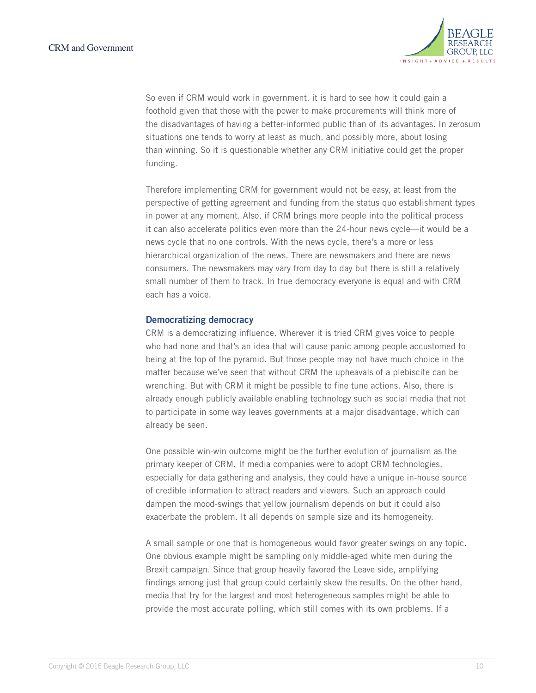

So even if CRM would work in government, it is hard to see how it could gain a foothold given that those with the power to make procurements will think more of the disadvantages of having a better-informed public than of its advantages. In zerosum situations one tends to worry at least as much, and possibly more, about losing than winning. So it is questionable whether any CRM initiative could get the proper funding.

Therefore implementing CRM for government would not be easy, at least from the perspective of getting agreement and funding from the status quo establishment types in power at any moment. Also, if CRM brings more people into the political process it can also accelerate politics even more than the 24-hour news cycle—it would be a news cycle that no one controls. With the news cycle, there's a more or less hierarchical organization of the news. There are newsmakers and there are news consumers. The newsmakers may vary from day to day but there is still a relatively small number of them to track. In true democracy everyone is equal and with CRM each has a voice.

### Democratizing democracy

CRM is a democratizing influence. Wherever it is tried CRM gives voice to people who had none and that's an idea that will cause panic among people accustomed to being at the top of the pyramid. But those people may not have much choice in the matter because we've seen that without CRM the upheavals of a plebiscite can be wrenching. But with CRM it might be possible to fine tune actions. Also, there is already enough publicly available enabling technology such as social media that not to participate in some way leaves governments at a major disadvantage, which can already be seen.

One possible win-win outcome might be the further evolution of journalism as the primary keeper of CRM. If media companies were to adopt CRM technologies, especially for data gathering and analysis, they could have a unique in-house source of credible information to attract readers and viewers. Such an approach could dampen the mood-swings that yellow journalism depends on but it could also exacerbate the problem. It all depends on sample size and its homogeneity.

A small sample or one that is homogeneous would favor greater swings on any topic. One obvious example might be sampling only middle-aged white men during the Brexit campaign. Since that group heavily favored the Leave side, amplifying findings among just that group could certainly skew the results. On the other hand, media that try for the largest and most heterogeneous samples might be able to provide the most accurate polling, which still comes with its own problems. If a